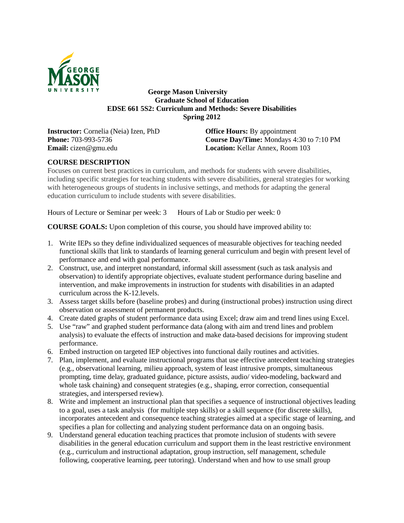

# **George Mason University Graduate School of Education EDSE 661 5S2: Curriculum and Methods: Severe Disabilities Spring 2012**

**Instructor:** Cornelia (Neia) Izen, PhD **Office Hours:** By appointment **Email:** cizen@gmu.edu **Location:** Kellar Annex, Room 103

**Phone:** 703-993-5736 **Course Day/Time:** Mondays 4:30 to 7:10 PM

# **COURSE DESCRIPTION**

Focuses on current best practices in curriculum, and methods for students with severe disabilities, including specific strategies for teaching students with severe disabilities, general strategies for working with heterogeneous groups of students in inclusive settings, and methods for adapting the general education curriculum to include students with severe disabilities.

Hours of Lecture or Seminar per week: 3 Hours of Lab or Studio per week: 0

**COURSE GOALS:** Upon completion of this course, you should have improved ability to:

- 1. Write IEPs so they define individualized sequences of measurable objectives for teaching needed functional skills that link to standards of learning general curriculum and begin with present level of performance and end with goal performance.
- 2. Construct, use, and interpret nonstandard, informal skill assessment (such as task analysis and observation) to identify appropriate objectives, evaluate student performance during baseline and intervention, and make improvements in instruction for students with disabilities in an adapted curriculum across the K-12.levels.
- 3. Assess target skills before (baseline probes) and during (instructional probes) instruction using direct observation or assessment of permanent products.
- 4. Create dated graphs of student performance data using Excel; draw aim and trend lines using Excel.
- 5. Use "raw" and graphed student performance data (along with aim and trend lines and problem analysis) to evaluate the effects of instruction and make data-based decisions for improving student performance.
- 6. Embed instruction on targeted IEP objectives into functional daily routines and activities.
- 7. Plan, implement, and evaluate instructional programs that use effective antecedent teaching strategies (e.g., observational learning, milieu approach, system of least intrusive prompts, simultaneous prompting, time delay, graduated guidance, picture assists, audio/ video-modeling, backward and whole task chaining) and consequent strategies (e.g., shaping, error correction, consequential strategies, and interspersed review).
- 8. Write and implement an instructional plan that specifies a sequence of instructional objectives leading to a goal, uses a task analysis (for multiple step skills) or a skill sequence (for discrete skills), incorporates antecedent and consequence teaching strategies aimed at a specific stage of learning, and specifies a plan for collecting and analyzing student performance data on an ongoing basis.
- 9. Understand general education teaching practices that promote inclusion of students with severe disabilities in the general education curriculum and support them in the least restrictive environment (e.g., curriculum and instructional adaptation, group instruction, self management, schedule following, cooperative learning, peer tutoring). Understand when and how to use small group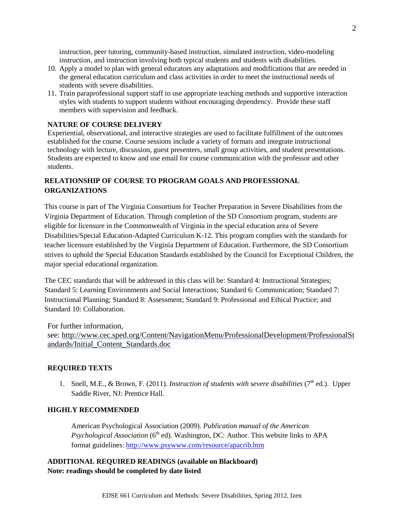instruction, peer tutoring, community-based instruction, simulated instruction, video-modeling instruction, and instruction involving both typical students and students with disabilities.

- 10. Apply a model to plan with general educators any adaptations and modifications that are needed in the general education curriculum and class activities in order to meet the instructional needs of students with severe disabilities.
- 11. Train paraprofessional support staff to use appropriate teaching methods and supportive interaction styles with students to support students without encouraging dependency. Provide these staff members with supervision and feedback.

## **NATURE OF COURSE DELIVERY**

Experiential, observational, and interactive strategies are used to facilitate fulfillment of the outcomes established for the course. Course sessions include a variety of formats and integrate instructional technology with lecture, discussion, guest presenters, small group activities, and student presentations. Students are expected to know and use email for course communication with the professor and other students.

# **RELATIONSHIP OF COURSE TO PROGRAM GOALS AND PROFESSIONAL ORGANIZATIONS**

This course is part of The Virginia Consortium for Teacher Preparation in Severe Disabilities from the Virginia Department of Education. Through completion of the SD Consortium program, students are eligible for licensure in the Commonwealth of Virginia in the special education area of Severe Disabilities/Special Education-Adapted Curriculum K-12. This program complies with the standards for teacher licensure established by the Virginia Department of Education. Furthermore, the SD Consortium strives to uphold the Special Education Standards established by the Council for Exceptional Children, the major special educational organization.

The CEC standards that will be addressed in this class will be: Standard 4: Instructional Strategies; Standard 5: Learning Environments and Social Interactions; Standard 6: Communication; Standard 7: Instructional Planning; Standard 8: Assessment; Standard 9: Professional and Ethical Practice; and Standard 10: Collaboration

For further information,

see: [http://www.cec.sped.org/Content/NavigationMenu/ProfessionalDevelopment/ProfessionalSt](http://www.cec.sped.org/Content/NavigationMenu/ProfessionalDevelopment/ProfessionalStandards/Initial_Content_Standards.doc) [andards/Initial\\_Content\\_Standards.doc](http://www.cec.sped.org/Content/NavigationMenu/ProfessionalDevelopment/ProfessionalStandards/Initial_Content_Standards.doc)

#### **REQUIRED TEXTS**

1. Snell, M.E., & Brown, F. (2011). *Instruction of students with severe disabilities* (7<sup>th</sup> ed.). Upper Saddle River, NJ: Prentice Hall.

#### **HIGHLY RECOMMENDED**

American Psychological Association (2009). *Publication manual of the American Psychological Association* (6<sup>th</sup> ed). Washington, DC: Author. This website links to APA format guidelines:<http://www.psywww.com/resource/apacrib.htm>

**ADDITIONAL REQUIRED READINGS (available on Blackboard) Note: readings should be completed by date listed**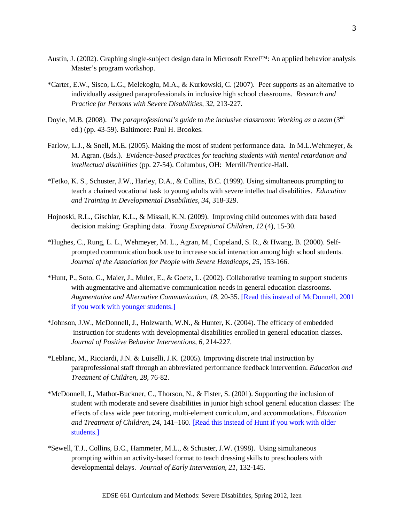- Austin, J. (2002). Graphing single-subject design data in Microsoft Excel™: An applied behavior analysis Master's program workshop.
- \*Carter, E.W., Sisco, L.G., Melekoglu, M.A., & Kurkowski, C. (2007). Peer supports as an alternative to individually assigned paraprofessionals in inclusive high school classrooms. *Research and Practice for Persons with Severe Disabilities, 32*, 213-227.
- Doyle, M.B. (2008). *The paraprofessional's guide to the inclusive classroom: Working as a team* (3<sup>nd</sup>) ed.) (pp. 43-59). Baltimore: Paul H. Brookes.
- Farlow, L.J., & Snell, M.E. (2005). Making the most of student performance data. In M.L.Wehmeyer, & M. Agran. (Eds.). *Evidence-based practices for teaching students with mental retardation and intellectual disabilities* (pp. 27-54). Columbus, OH: Merrill/Prentice-Hall.
- \*Fetko, K. S., Schuster, J.W., Harley, D.A., & Collins, B.C. (1999). Using simultaneous prompting to teach a chained vocational task to young adults with severe intellectual disabilities. *Education and Training in Developmental Disabilities, 34*, 318-329.
- Hojnoski, R.L., Gischlar, K.L., & Missall, K.N. (2009). Improving child outcomes with data based decision making: Graphing data. *Young Exceptional Children, 12* (4), 15-30.
- \*Hughes, C., Rung, L. L., Wehmeyer, M. L., Agran, M., Copeland, S. R., & Hwang, B. (2000). Selfprompted communication book use to increase social interaction among high school students. *Journal of the Association for People with Severe Handicaps, 25,* 153-166.
- \*Hunt, P., Soto, G., Maier, J., Muler, E., & Goetz, L. (2002). Collaborative teaming to support students with augmentative and alternative communication needs in general education classrooms. *Augmentative and Alternative Communication, 18*, 20-35. [Read this instead of McDonnell, 2001 if you work with younger students.]
- \*Johnson, J.W., McDonnell, J., Holzwarth, W.N., & Hunter, K. (2004). The efficacy of embedded instruction for students with developmental disabilities enrolled in general education classes. *Journal of Positive Behavior Interventions, 6*, 214-227.
- \*Leblanc, M., Ricciardi, J.N. & Luiselli, J.K. (2005). Improving discrete trial instruction by paraprofessional staff through an abbreviated performance feedback intervention. *Education and Treatment of Children, 28*, 76-82.
- \*McDonnell, J., Mathot-Buckner, C., Thorson, N., & Fister, S. (2001). Supporting the inclusion of student with moderate and severe disabilities in junior high school general education classes: The effects of class wide peer tutoring, multi-element curriculum, and accommodations. *Education and Treatment of Children, 24*, 141–160. [Read this instead of Hunt if you work with older students.]
- \*Sewell, T.J., Collins, B.C., Hammeter, M.L., & Schuster, J.W. (1998). Using simultaneous prompting within an activity-based format to teach dressing skills to preschoolers with developmental delays. *Journal of Early Intervention, 21*, 132-145.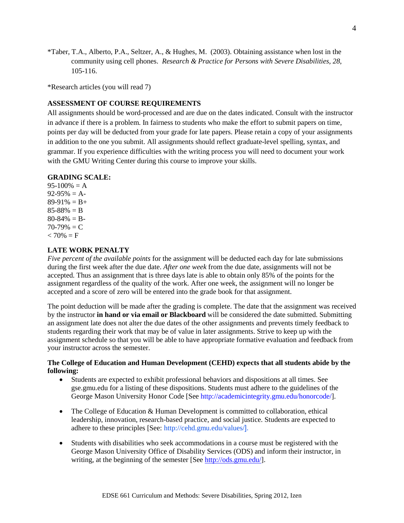\*Taber, T.A., Alberto, P.A., Seltzer, A., & Hughes, M. (2003). Obtaining assistance when lost in the community using cell phones. *Research & Practice for Persons with Severe Disabilities, 28*, 105-116.

\*Research articles (you will read 7)

# **ASSESSMENT OF COURSE REQUIREMENTS**

All assignments should be word-processed and are due on the dates indicated. Consult with the instructor in advance if there is a problem. In fairness to students who make the effort to submit papers on time, points per day will be deducted from your grade for late papers. Please retain a copy of your assignments in addition to the one you submit. All assignments should reflect graduate-level spelling, syntax, and grammar. If you experience difficulties with the writing process you will need to document your work with the GMU Writing Center during this course to improve your skills.

## **GRADING SCALE:**

 $95-100% = A$  $92-95% = A$  $89-91\% = B+$  $85 - 88\% = B$  $80 - 84\% = B$  $70-79\% = C$  $< 70\% = F$ 

## **LATE WORK PENALTY**

*Five percent of the available points* for the assignment will be deducted each day for late submissions during the first week after the due date. *After one week* from the due date, assignments will not be accepted*.* Thus an assignment that is three days late is able to obtain only 85% of the points for the assignment regardless of the quality of the work. After one week, the assignment will no longer be accepted and a score of zero will be entered into the grade book for that assignment.

The point deduction will be made after the grading is complete. The date that the assignment was received by the instructor **in hand or via email or Blackboard** will be considered the date submitted. Submitting an assignment late does not alter the due dates of the other assignments and prevents timely feedback to students regarding their work that may be of value in later assignments. Strive to keep up with the assignment schedule so that you will be able to have appropriate formative evaluation and feedback from your instructor across the semester.

## **The College of Education and Human Development (CEHD) expects that all students abide by the following:**

- Students are expected to exhibit professional behaviors and dispositions at all times. See gse.gmu.edu for a listing of these dispositions. Students must adhere to the guidelines of the George Mason University Honor Code [See http://academicintegrity.gmu.edu/honorcode/].
- The College of Education & Human Development is committed to collaboration, ethical leadership, innovation, research-based practice, and social justice. Students are expected to adhere to these principles [See: <http://cehd.gmu.edu/values/>].
- Students with disabilities who seek accommodations in a course must be registered with the George Mason University Office of Disability Services (ODS) and inform their instructor, in writing, at the beginning of the semester [See [http://ods.gmu.edu/\]](http://ods.gmu.edu/).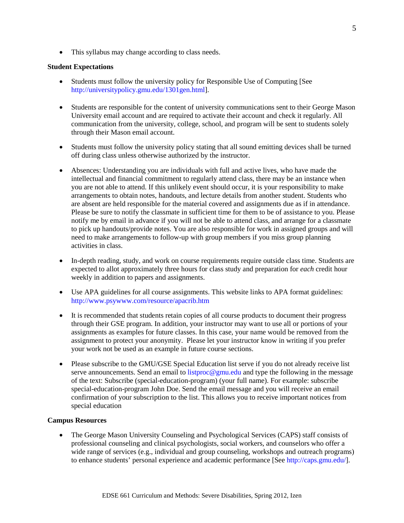• This syllabus may change according to class needs.

### **Student Expectations**

- Students must follow the university policy for Responsible Use of Computing [See http://universitypolicy.gmu.edu/1301gen.html].
- Students are responsible for the content of university communications sent to their George Mason University email account and are required to activate their account and check it regularly. All communication from the university, college, school, and program will be sent to students solely through their Mason email account.
- Students must follow the university policy stating that all sound emitting devices shall be turned off during class unless otherwise authorized by the instructor.
- Absences: Understanding you are individuals with full and active lives, who have made the intellectual and financial commitment to regularly attend class, there may be an instance when you are not able to attend. If this unlikely event should occur, it is your responsibility to make arrangements to obtain notes, handouts, and lecture details from another student. Students who are absent are held responsible for the material covered and assignments due as if in attendance. Please be sure to notify the classmate in sufficient time for them to be of assistance to you. Please notify me by email in advance if you will not be able to attend class, and arrange for a classmate to pick up handouts/provide notes. You are also responsible for work in assigned groups and will need to make arrangements to follow-up with group members if you miss group planning activities in class.
- In-depth reading, study, and work on course requirements require outside class time. Students are expected to allot approximately three hours for class study and preparation for *each* credit hour weekly in addition to papers and assignments.
- Use APA guidelines for all course assignments. This website links to APA format guidelines: http://www.psywww.com/resource/apacrib.htm
- It is recommended that students retain copies of all course products to document their progress through their GSE program. In addition, your instructor may want to use all or portions of your assignments as examples for future classes. In this case, your name would be removed from the assignment to protect your anonymity. Please let your instructor know in writing if you prefer your work not be used as an example in future course sections.
- Please subscribe to the GMU/GSE Special Education list serve if you do not already receive list serve announcements. Send an email to listproc@gmu.edu and type the following in the message of the text: Subscribe (special-education-program) (your full name). For example: subscribe special-education-program John Doe. Send the email message and you will receive an email confirmation of your subscription to the list. This allows you to receive important notices from special education

#### **Campus Resources**

• The George Mason University Counseling and Psychological Services (CAPS) staff consists of professional counseling and clinical psychologists, social workers, and counselors who offer a wide range of services (e.g., individual and group counseling, workshops and outreach programs) to enhance students' personal experience and academic performance [See http://caps.gmu.edu/].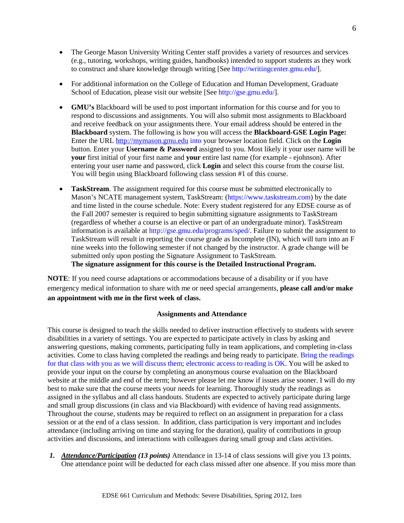- The George Mason University Writing Center staff provides a variety of resources and services (e.g., tutoring, workshops, writing guides, handbooks) intended to support students as they work to construct and share knowledge through writing [See http://writingcenter.gmu.edu/].
- For additional information on the College of Education and Human Development, Graduate School of Education, please visit our website [See http://gse.gmu.edu/].
- **GMU's** Blackboard will be used to post important information for this course and for you to respond to discussions and assignments. You will also submit most assignments to Blackboard and receive feedback on your assignments there. Your email address should be entered in the **Blackboard** system. The following is how you will access the **Blackboard-GSE Login Page:**  Enter the URL [http://mymason.gmu.edu](http://mymason.gmu.edu/) into your browser location field. Click on the **Login**  button. Enter your **Username & Password** assigned to you. Most likely it your user name will be **your** first initial of your first name and **your** entire last name (for example - ejohnson). After entering your user name and password, click **Login** and select this course from the course list. You will begin using Blackboard following class session #1 of this course.
- **TaskStream**. The assignment required for this course must be submitted electronically to Mason's NCATE management system, TaskStream: (https://www.taskstream.com) by the date and time listed in the course schedule. Note: Every student registered for any EDSE course as of the Fall 2007 semester is required to begin submitting signature assignments to TaskStream (regardless of whether a course is an elective or part of an undergraduate minor). TaskStream information is available at http://gse.gmu.edu/programs/sped/. Failure to submit the assignment to TaskStream will result in reporting the course grade as Incomplete (IN), which will turn into an F nine weeks into the following semester if not changed by the instructor. A grade change will be submitted only upon posting the Signature Assignment to TaskStream.

**The signature assignment for this course is the Detailed Instructional Program.**

**NOTE**: If you need course adaptations or accommodations because of a disability or if you have emergency medical information to share with me or need special arrangements, **please call and/or make an appointment with me in the first week of class.**

#### **Assignments and Attendance**

This course is designed to teach the skills needed to deliver instruction effectively to students with severe disabilities in a variety of settings. You are expected to participate actively in class by asking and answering questions, making comments, participating fully in team applications, and completing in-class activities. Come to class having completed the readings and being ready to participate. Bring the readings for that class with you as we will discuss them; electronic access to reading is OK. You will be asked to provide your input on the course by completing an anonymous course evaluation on the Blackboard website at the middle and end of the term; however please let me know if issues arise sooner. I will do my best to make sure that the course meets your needs for learning. Thoroughly study the readings as assigned in the syllabus and all class handouts. Students are expected to actively participate during large and small group discussions (in class and via Blackboard) with evidence of having read assignments. Throughout the course, students may be required to reflect on an assignment in preparation for a class session or at the end of a class session. In addition, class participation is very important and includes attendance (including arriving on time and staying for the duration), quality of contributions in group activities and discussions, and interactions with colleagues during small group and class activities.

*1. Attendance/Participation (13 points)* Attendance in 13-14 of class sessions will give you 13 points. One attendance point will be deducted for each class missed after one absence. If you miss more than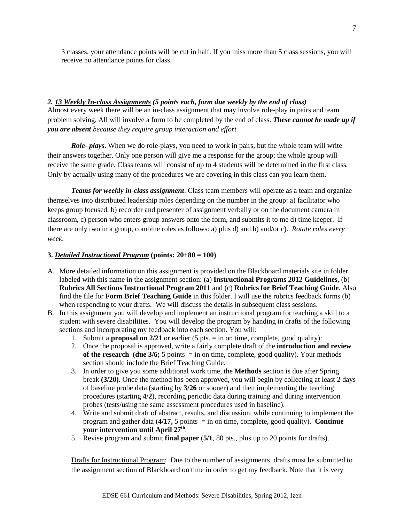3 classes, your attendance points will be cut in half. If you miss more than 5 class sessions, you will receive no attendance points for class.

*2. 13 Weekly In-class Assignments (5 points each, form due weekly by the end of class)* Almost every week there will be an in-class assignment that may involve role-play in pairs and team problem solving. All will involve a form to be completed by the end of class. *These cannot be made up if you are absent because they require group interaction and effort.*

*Role- plays*. When we do role-plays, you need to work in pairs, but the whole team will write their answers together. Only one person will give me a response for the group; the whole group will receive the same grade. Class teams will consist of up to 4 students will be determined in the first class*.* Only by actually using many of the procedures we are covering in this class can you learn them.

*Teams for weekly in-class assignment*. Class team members will operate as a team and organize themselves into distributed leadership roles depending on the number in the group: a) facilitator who keeps group focused, b) recorder and presenter of assignment verbally or on the document camera in classroom, c) person who enters group answers onto the form, and submits it to me d) time keeper. If there are only two in a group, combine roles as follows: a) plus d) and b) and/or c). *Rotate roles every week*.

## **3.** *Detailed Instructional Program* **(points: 20+80 = 100)**

- A. More detailed information on this assignment is provided on the Blackboard materials site in folder labeled with this name in the assignment section: (a) **Instructional Programs 2012 Guidelines**, (b) **Rubrics All Sections Instructional Program 2011** and (c) **Rubrics for Brief Teaching Guide**. Also find the file for **Form Brief Teaching Guide** in this folder. I will use the rubrics feedback forms (b) when responding to your drafts. We will discuss the details in subsequent class sessions.
- B. In this assignment you will develop and implement an instructional program for teaching a skill to a student with severe disabilities. You will develop the program by handing in drafts of the following sections and incorporating my feedback into each section. You will:
	- 1. Submit a **proposal on 2/21** or earlier (5 pts.  $=$  in on time, complete, good quality):
	- 2. Once the proposal is approved, write a fairly complete draft of the **introduction and review of the research (due**  $3/6$ **;**  $5$  points  $=$  in on time, complete, good quality). Your methods section should include the Brief Teaching Guide.
	- 3. In order to give you some additional work time, the **Methods** section is due after Spring break **(3/20).** Once the method has been approved, you will begin by collecting at least 2 days of baseline probe data (starting by **3/26** or sooner) and then implementing the teaching procedures (starting **4/2**), recording periodic data during training and during intervention probes (tests/using the same assessment procedures used in baseline).
	- 4. Write and submit draft of abstract, results, and discussion, while continuing to implement the program and gather data (**4/17,** 5 points = in on time, complete, good quality). **Continue your intervention until April 27th**.
	- 5. Revise program and submit **final paper** (**5/1**, 80 pts., plus up to 20 points for drafts).

Drafts for Instructional Program: Due to the number of assignments, drafts must be submitted to the assignment section of Blackboard on time in order to get my feedback. Note that it is very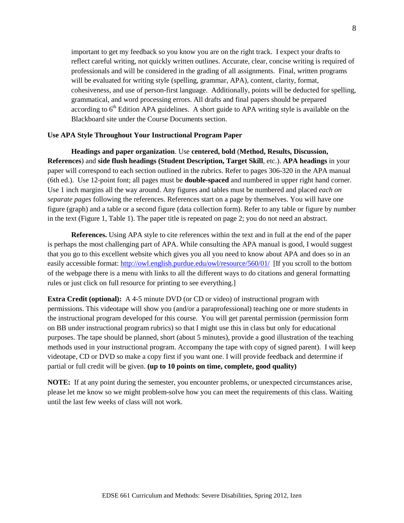important to get my feedback so you know you are on the right track. I expect your drafts to reflect careful writing, not quickly written outlines. Accurate, clear, concise writing is required of professionals and will be considered in the grading of all assignments. Final, written programs will be evaluated for writing style (spelling, grammar, APA), content, clarity, format, cohesiveness, and use of person-first language. Additionally, points will be deducted for spelling, grammatical, and word processing errors. All drafts and final papers should be prepared according to  $6<sup>th</sup>$  Edition APA guidelines. A short guide to APA writing style is available on the Blackboard site under the Course Documents section.

#### **Use APA Style Throughout Your Instructional Program Paper**

**Headings and paper organization**. Use **centered, bold** (**Method, Results, Discussion, References**) and **side flush headings (Student Description, Target Skill**, etc.). **APA headings** in your paper will correspond to each section outlined in the rubrics. Refer to pages 306-320 in the APA manual (6th ed.). Use 12-point font; all pages must be **double-spaced** and numbered in upper right hand corner. Use 1 inch margins all the way around. Any figures and tables must be numbered and placed *each on separate pages* following the references. References start on a page by themselves. You will have one figure (graph) and a table or a second figure (data collection form). Refer to any table or figure by number in the text (Figure 1, Table 1). The paper title is repeated on page 2; you do not need an abstract.

**References.** Using APA style to cite references within the text and in full at the end of the paper is perhaps the most challenging part of APA. While consulting the APA manual is good, I would suggest that you go to this excellent website which gives you all you need to know about APA and does so in an easily accessible format:<http://owl.english.purdue.edu/owl/resource/560/01/>[If you scroll to the bottom of the webpage there is a menu with links to all the different ways to do citations and general formatting rules or just click on full resource for printing to see everything.]

**Extra Credit (optional):** A 4-5 minute DVD (or CD or video) of instructional program with permissions. This videotape will show you (and/or a paraprofessional) teaching one or more students in the instructional program developed for this course. You will get parental permission (permission form on BB under instructional program rubrics) so that I might use this in class but only for educational purposes. The tape should be planned, short (about 5 minutes), provide a good illustration of the teaching methods used in your instructional program. Accompany the tape with copy of signed parent). I will keep videotape, CD or DVD so make a copy first if you want one. I will provide feedback and determine if partial or full credit will be given. **(up to 10 points on time, complete, good quality)**

**NOTE:** If at any point during the semester, you encounter problems, or unexpected circumstances arise, please let me know so we might problem-solve how you can meet the requirements of this class. Waiting until the last few weeks of class will not work.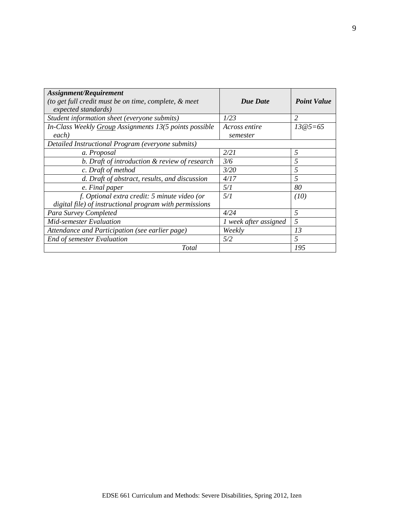| Assignment/Requirement                                  |                       |                    |  |  |  |
|---------------------------------------------------------|-----------------------|--------------------|--|--|--|
| (to get full credit must be on time, complete, & meet)  | Due Date              | <b>Point Value</b> |  |  |  |
| expected standards)                                     |                       |                    |  |  |  |
| Student information sheet (everyone submits)            | 1/23                  | 2                  |  |  |  |
| In-Class Weekly Group Assignments 13(5 points possible  | Across entire         | $13@5=65$          |  |  |  |
| each)                                                   | semester              |                    |  |  |  |
| Detailed Instructional Program (everyone submits)       |                       |                    |  |  |  |
| a. Proposal                                             | 2/21                  | 5                  |  |  |  |
| b. Draft of introduction & review of research           | 3/6                   | .5                 |  |  |  |
| c. Draft of method                                      | 3/20                  | 5                  |  |  |  |
| d. Draft of abstract, results, and discussion           | 4/17                  | 5                  |  |  |  |
| e. Final paper                                          | 5/1                   | 80                 |  |  |  |
| f. Optional extra credit: 5 minute video (or            | 5/1                   | (10)               |  |  |  |
| digital file) of instructional program with permissions |                       |                    |  |  |  |
| Para Survey Completed                                   | 4/24                  | 5                  |  |  |  |
| Mid-semester Evaluation                                 | 1 week after assigned | 5                  |  |  |  |
| Attendance and Participation (see earlier page)         | Weekly                | 13                 |  |  |  |
| End of semester Evaluation                              | 5/2                   | 5                  |  |  |  |
| <b>Total</b>                                            |                       | 195                |  |  |  |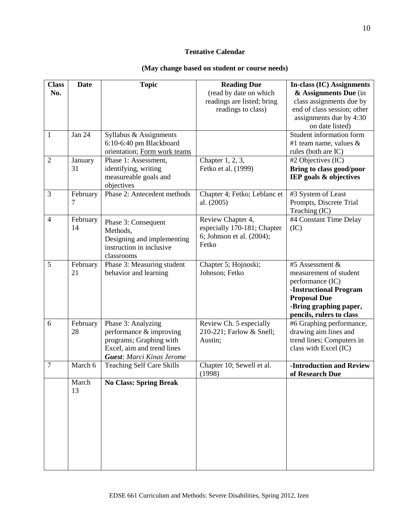# **Tentative Calendar**

# **(May change based on student or course needs)**

| <b>Class</b>   | <b>Date</b> | <b>Topic</b>                                          | <b>Reading Due</b>           | <b>In-class (IC) Assignments</b>                     |
|----------------|-------------|-------------------------------------------------------|------------------------------|------------------------------------------------------|
| No.            |             |                                                       | (read by date on which       | & Assignments Due (in                                |
|                |             |                                                       | readings are listed; bring   | class assignments due by                             |
|                |             |                                                       | readings to class)           | end of class session; other                          |
|                |             |                                                       |                              | assignments due by 4:30                              |
|                |             |                                                       |                              | on date listed)                                      |
| $\mathbf{1}$   | Jan 24      | Syllabus & Assignments                                |                              | Student information form                             |
|                |             | 6:10-6:40 pm Blackboard                               |                              | #1 team name, values $\&$                            |
|                |             | orientation; Form work teams                          |                              | rules (both are IC)                                  |
| $\overline{2}$ | January     | Phase 1: Assessment,                                  | Chapter 1, 2, 3,             | #2 Objectives (IC)                                   |
|                | 31          | identifying, writing                                  | Fetko et al. (1999)          | Bring to class good/poor                             |
|                |             | measureable goals and                                 |                              | IEP goals & objectives                               |
|                |             | objectives                                            |                              |                                                      |
| 3              | February    | Phase 2: Antecedent methods                           | Chapter 4; Fetko; Leblanc et | #3 System of Least                                   |
|                | 7           |                                                       | al. (2005)                   | Prompts, Discrete Trial                              |
|                |             |                                                       |                              | Teaching (IC)                                        |
| $\overline{4}$ | February    |                                                       | Review Chapter 4,            | #4 Constant Time Delay                               |
|                | 14          | Phase 3: Consequent                                   | especially 170-181; Chapter  | (IC)                                                 |
|                |             | Methods,                                              | 6; Johnson et al. (2004);    |                                                      |
|                |             | Designing and implementing                            | Fetko                        |                                                      |
|                |             | instruction in inclusive                              |                              |                                                      |
|                |             | classrooms                                            |                              |                                                      |
| 5              | February    | Phase 3: Measuring student                            | Chapter 5; Hojnoski;         | #5 Assessment &                                      |
|                | 21          | behavior and learning                                 | Johnson; Fetko               | measurement of student                               |
|                |             |                                                       |                              | performance (IC)                                     |
|                |             |                                                       |                              | -Instructional Program                               |
|                |             |                                                       |                              | <b>Proposal Due</b>                                  |
|                |             |                                                       |                              | -Bring graphing paper,                               |
| 6              | February    | Phase 3: Analyzing                                    | Review Ch. 5 especially      | pencils, rulers to class<br>#6 Graphing performance, |
|                | 28          |                                                       |                              |                                                      |
|                |             | performance & improving                               | 210-221; Farlow & Snell;     | drawing aim lines and                                |
|                |             | programs; Graphing with<br>Excel, aim and trend lines | Austin;                      | trend lines; Computers in<br>class with Excel (IC)   |
|                |             |                                                       |                              |                                                      |
| 7              | March 6     | <b>Guest:</b> Marci Kinas Jerome                      | Chapter 10; Sewell et al.    | -Introduction and Review                             |
|                |             | <b>Teaching Self Care Skills</b>                      | (1998)                       |                                                      |
|                | March       | <b>No Class: Spring Break</b>                         |                              | of Research Due                                      |
|                | 13          |                                                       |                              |                                                      |
|                |             |                                                       |                              |                                                      |
|                |             |                                                       |                              |                                                      |
|                |             |                                                       |                              |                                                      |
|                |             |                                                       |                              |                                                      |
|                |             |                                                       |                              |                                                      |
|                |             |                                                       |                              |                                                      |
|                |             |                                                       |                              |                                                      |
|                |             |                                                       |                              |                                                      |
|                |             |                                                       |                              |                                                      |